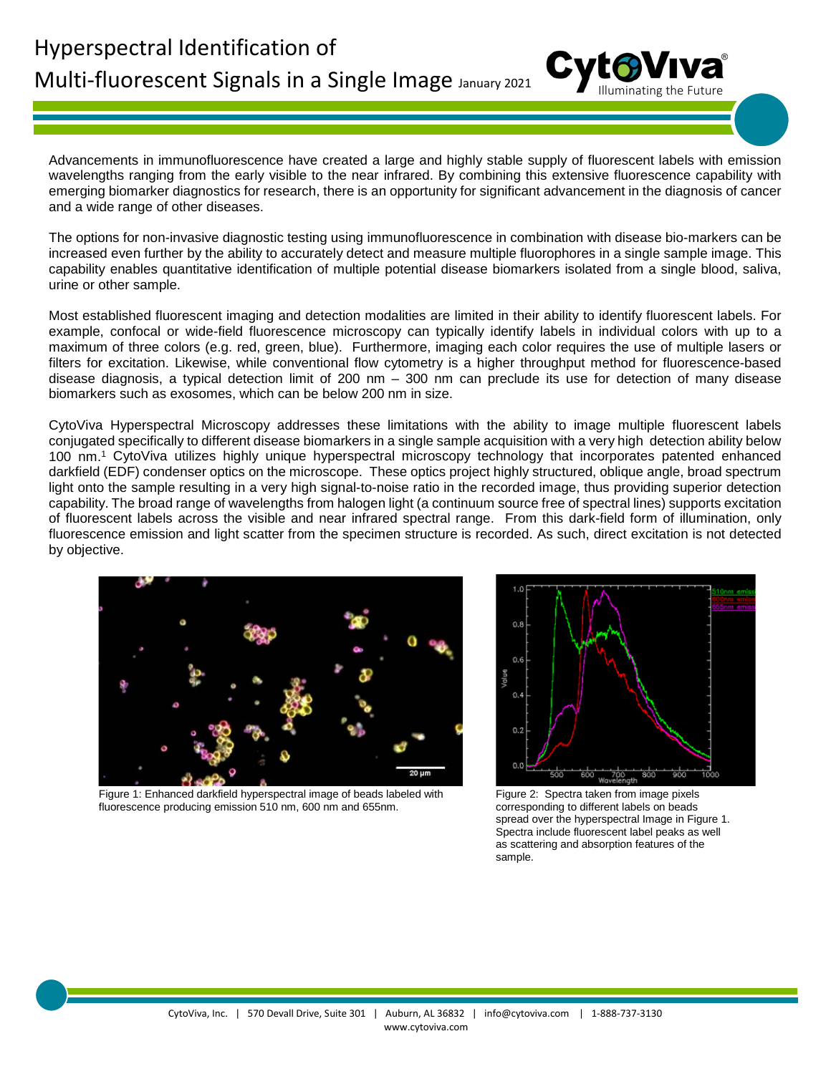Advancements in immunofluorescence have created a large and highly stable supply of fluorescent labels with emission wavelengths ranging from the early visible to the near infrared. By combining this extensive fluorescence capability with emerging biomarker diagnostics for research, there is an opportunity for significant advancement in the diagnosis of cancer and a wide range of other diseases.

The options for non-invasive diagnostic testing using immunofluorescence in combination with disease bio-markers can be increased even further by the ability to accurately detect and measure multiple fluorophores in a single sample image. This capability enables quantitative identification of multiple potential disease biomarkers isolated from a single blood, saliva, urine or other sample.

Most established fluorescent imaging and detection modalities are limited in their ability to identify fluorescent labels. For example, confocal or wide-field fluorescence microscopy can typically identify labels in individual colors with up to a maximum of three colors (e.g. red, green, blue). Furthermore, imaging each color requires the use of multiple lasers or filters for excitation. Likewise, while conventional flow cytometry is a higher throughput method for fluorescence-based disease diagnosis, a typical detection limit of 200 nm – 300 nm can preclude its use for detection of many disease biomarkers such as exosomes, which can be below 200 nm in size.

CytoViva Hyperspectral Microscopy addresses these limitations with the ability to image multiple fluorescent labels conjugated specifically to different disease biomarkers in a single sample acquisition with a very high detection ability below 100 nm. <sup>1</sup> CytoViva utilizes highly unique hyperspectral microscopy technology that incorporates patented enhanced darkfield (EDF) condenser optics on the microscope. These optics project highly structured, oblique angle, broad spectrum light onto the sample resulting in a very high signal-to-noise ratio in the recorded image, thus providing superior detection capability. The broad range of wavelengths from halogen light (a continuum source free of spectral lines) supports excitation of fluorescent labels across the visible and near infrared spectral range. From this dark-field form of illumination, only fluorescence emission and light scatter from the specimen structure is recorded. As such, direct excitation is not detected by objective.



 Figure 1: Enhanced darkfield hyperspectral image of beads labeled with fluorescence producing emission 510 nm, 600 nm and 655nm.



Figure 2: Spectra taken from image pixels corresponding to different labels on beads spread over the hyperspectral Image in Figure 1. Spectra include fluorescent label peaks as well as scattering and absorption features of the sample.